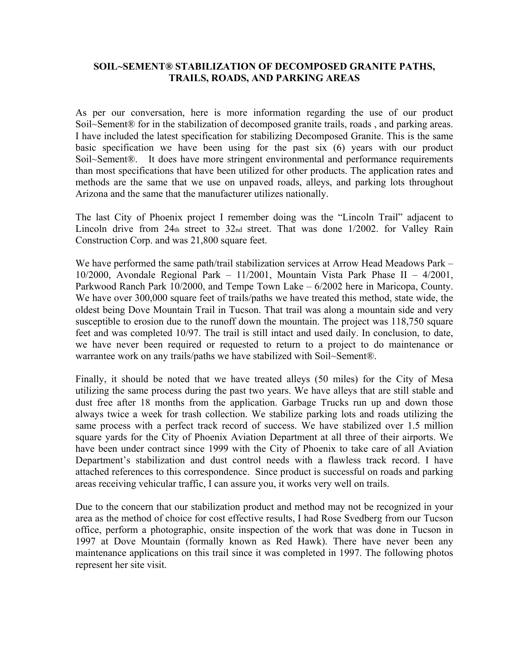## **SOIL~SEMENT® STABILIZATION OF DECOMPOSED GRANITE PATHS, TRAILS, ROADS, AND PARKING AREAS**

As per our conversation, here is more information regarding the use of our product Soil~Sement® for in the stabilization of decomposed granite trails, roads , and parking areas. I have included the latest specification for stabilizing Decomposed Granite. This is the same basic specification we have been using for the past six (6) years with our product Soil~Sement®. It does have more stringent environmental and performance requirements than most specifications that have been utilized for other products. The application rates and methods are the same that we use on unpaved roads, alleys, and parking lots throughout Arizona and the same that the manufacturer utilizes nationally.

The last City of Phoenix project I remember doing was the "Lincoln Trail" adjacent to Lincoln drive from 24th street to 32nd street. That was done 1/2002. for Valley Rain Construction Corp. and was 21,800 square feet.

We have performed the same path/trail stabilization services at Arrow Head Meadows Park – 10/2000, Avondale Regional Park – 11/2001, Mountain Vista Park Phase II – 4/2001, Parkwood Ranch Park 10/2000, and Tempe Town Lake – 6/2002 here in Maricopa, County. We have over 300,000 square feet of trails/paths we have treated this method, state wide, the oldest being Dove Mountain Trail in Tucson. That trail was along a mountain side and very susceptible to erosion due to the runoff down the mountain. The project was 118,750 square feet and was completed 10/97. The trail is still intact and used daily. In conclusion, to date, we have never been required or requested to return to a project to do maintenance or warrantee work on any trails/paths we have stabilized with Soil~Sement®.

Finally, it should be noted that we have treated alleys (50 miles) for the City of Mesa utilizing the same process during the past two years. We have alleys that are still stable and dust free after 18 months from the application. Garbage Trucks run up and down those always twice a week for trash collection. We stabilize parking lots and roads utilizing the same process with a perfect track record of success. We have stabilized over 1.5 million square yards for the City of Phoenix Aviation Department at all three of their airports. We have been under contract since 1999 with the City of Phoenix to take care of all Aviation Department's stabilization and dust control needs with a flawless track record. I have attached references to this correspondence. Since product is successful on roads and parking areas receiving vehicular traffic, I can assure you, it works very well on trails.

Due to the concern that our stabilization product and method may not be recognized in your area as the method of choice for cost effective results, I had Rose Svedberg from our Tucson office, perform a photographic, onsite inspection of the work that was done in Tucson in 1997 at Dove Mountain (formally known as Red Hawk). There have never been any maintenance applications on this trail since it was completed in 1997. The following photos represent her site visit.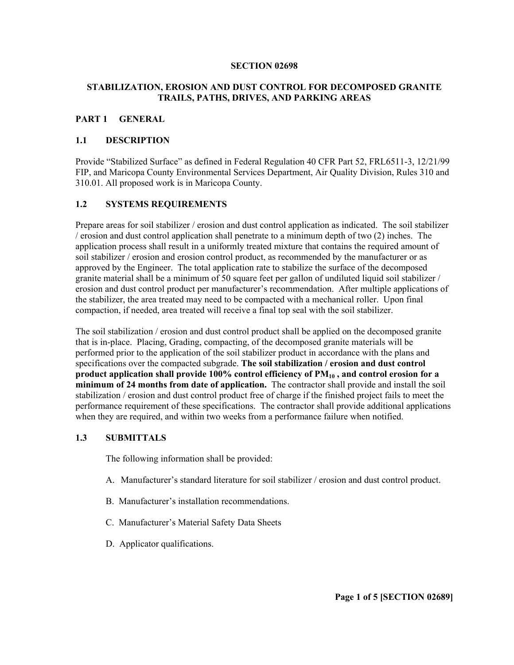#### **SECTION 02698**

## **STABILIZATION, EROSION AND DUST CONTROL FOR DECOMPOSED GRANITE TRAILS, PATHS, DRIVES, AND PARKING AREAS**

### **PART 1 GENERAL**

## **1.1 DESCRIPTION**

Provide "Stabilized Surface" as defined in Federal Regulation 40 CFR Part 52, FRL6511-3, 12/21/99 FIP, and Maricopa County Environmental Services Department, Air Quality Division, Rules 310 and 310.01. All proposed work is in Maricopa County.

### **1.2 SYSTEMS REQUIREMENTS**

Prepare areas for soil stabilizer / erosion and dust control application as indicated. The soil stabilizer / erosion and dust control application shall penetrate to a minimum depth of two (2) inches. The application process shall result in a uniformly treated mixture that contains the required amount of soil stabilizer / erosion and erosion control product, as recommended by the manufacturer or as approved by the Engineer. The total application rate to stabilize the surface of the decomposed granite material shall be a minimum of 50 square feet per gallon of undiluted liquid soil stabilizer / erosion and dust control product per manufacturer's recommendation. After multiple applications of the stabilizer, the area treated may need to be compacted with a mechanical roller. Upon final compaction, if needed, area treated will receive a final top seal with the soil stabilizer.

The soil stabilization / erosion and dust control product shall be applied on the decomposed granite that is in-place. Placing, Grading, compacting, of the decomposed granite materials will be performed prior to the application of the soil stabilizer product in accordance with the plans and specifications over the compacted subgrade. **The soil stabilization / erosion and dust control**  product application shall provide 100% control efficiency of PM<sub>10</sub>, and control erosion for a **minimum of 24 months from date of application.** The contractor shall provide and install the soil stabilization / erosion and dust control product free of charge if the finished project fails to meet the performance requirement of these specifications. The contractor shall provide additional applications when they are required, and within two weeks from a performance failure when notified.

### **1.3 SUBMITTALS**

The following information shall be provided:

- A. Manufacturer's standard literature for soil stabilizer / erosion and dust control product.
- B. Manufacturer's installation recommendations.
- C. Manufacturer's Material Safety Data Sheets
- D. Applicator qualifications.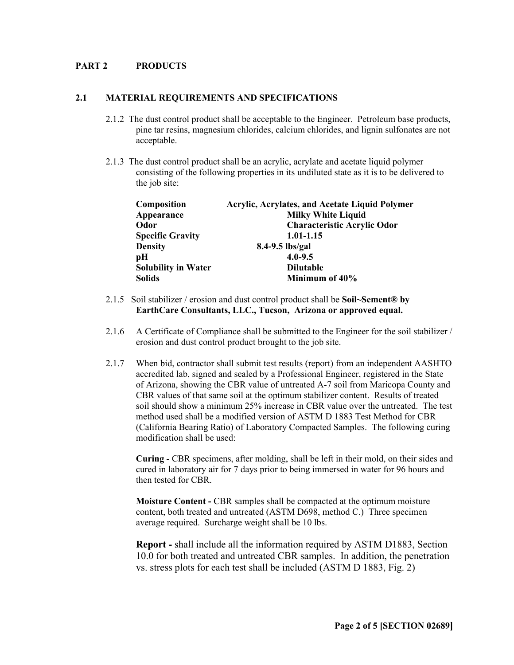### **PART 2 PRODUCTS**

#### **2.1 MATERIAL REQUIREMENTS AND SPECIFICATIONS**

- 2.1.2 The dust control product shall be acceptable to the Engineer. Petroleum base products, pine tar resins, magnesium chlorides, calcium chlorides, and lignin sulfonates are not acceptable.
- 2.1.3 The dust control product shall be an acrylic, acrylate and acetate liquid polymer consisting of the following properties in its undiluted state as it is to be delivered to the job site:

| <b>Acrylic, Acrylates, and Acetate Liquid Polymer</b> |
|-------------------------------------------------------|
| <b>Milky White Liquid</b>                             |
| <b>Characteristic Acrylic Odor</b>                    |
| 1.01-1.15                                             |
|                                                       |
|                                                       |
| <b>Dilutable</b>                                      |
| Minimum of 40%                                        |
|                                                       |

- 2.1.5 Soil stabilizer / erosion and dust control product shall be **Soil~Sement® by EarthCare Consultants, LLC., Tucson, Arizona or approved equal.**
- 2.1.6 A Certificate of Compliance shall be submitted to the Engineer for the soil stabilizer / erosion and dust control product brought to the job site.
- 2.1.7 When bid, contractor shall submit test results (report) from an independent AASHTO accredited lab, signed and sealed by a Professional Engineer, registered in the State of Arizona, showing the CBR value of untreated A-7 soil from Maricopa County and CBR values of that same soil at the optimum stabilizer content. Results of treated soil should show a minimum 25% increase in CBR value over the untreated. The test method used shall be a modified version of ASTM D 1883 Test Method for CBR (California Bearing Ratio) of Laboratory Compacted Samples. The following curing modification shall be used:

**Curing -** CBR specimens, after molding, shall be left in their mold, on their sides and cured in laboratory air for 7 days prior to being immersed in water for 96 hours and then tested for CBR.

**Moisture Content -** CBR samples shall be compacted at the optimum moisture content, both treated and untreated (ASTM D698, method C.) Three specimen average required. Surcharge weight shall be 10 lbs.

**Report -** shall include all the information required by ASTM D1883, Section 10.0 for both treated and untreated CBR samples. In addition, the penetration vs. stress plots for each test shall be included (ASTM D 1883, Fig. 2)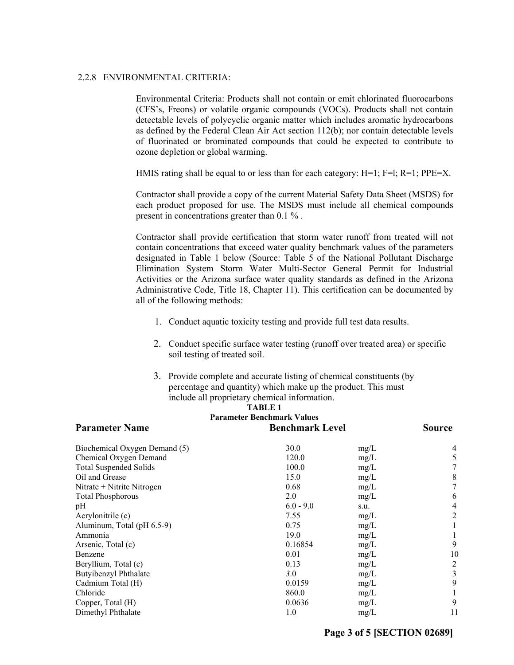#### 2.2.8 ENVIRONMENTAL CRITERIA:

Environmental Criteria: Products shall not contain or emit chlorinated fluorocarbons (CFS's, Freons) or volatile organic compounds (VOCs). Products shall not contain detectable levels of polycyclic organic matter which includes aromatic hydrocarbons as defined by the Federal Clean Air Act section 112(b); nor contain detectable levels of fluorinated or brominated compounds that could be expected to contribute to ozone depletion or global warming.

HMIS rating shall be equal to or less than for each category:  $H=1$ ;  $F=1$ ;  $R=1$ ;  $PPE=X$ .

Contractor shall provide a copy of the current Material Safety Data Sheet (MSDS) for each product proposed for use. The MSDS must include all chemical compounds present in concentrations greater than 0.1 % .

Contractor shall provide certification that storm water runoff from treated will not contain concentrations that exceed water quality benchmark values of the parameters designated in Table 1 below (Source: Table 5 of the National Pollutant Discharge Elimination System Storm Water Multi-Sector General Permit for Industrial Activities or the Arizona surface water quality standards as defined in the Arizona Administrative Code, Title 18, Chapter 11). This certification can be documented by all of the following methods:

- 1. Conduct aquatic toxicity testing and provide full test data results.
- 2. Conduct specific surface water testing (runoff over treated area) or specific soil testing of treated soil.
- 3. Provide complete and accurate listing of chemical constituents (by percentage and quantity) which make up the product. This must include all proprietary chemical information.

| <b>TABLE 1</b>                                             |               |      |    |  |  |  |
|------------------------------------------------------------|---------------|------|----|--|--|--|
| <b>Parameter Benchmark Values</b><br><b>Parameter Name</b> | <b>Source</b> |      |    |  |  |  |
| Biochemical Oxygen Demand (5)                              | 30.0          | mg/L | 4  |  |  |  |
| Chemical Oxygen Demand                                     | 120.0         | mg/L | 5  |  |  |  |
| <b>Total Suspended Solids</b>                              | 100.0         | mg/L | 7  |  |  |  |
| Oil and Grease                                             | 15.0          | mg/L | 8  |  |  |  |
| Nitrate + Nitrite Nitrogen                                 | 0.68          | mg/L | 7  |  |  |  |
| <b>Total Phosphorous</b>                                   | 2.0           | mg/L | 6  |  |  |  |
| pH                                                         | $6.0 - 9.0$   | s.u. | 4  |  |  |  |
| Acrylonitrile (c)                                          | 7.55          | mg/L | 2  |  |  |  |
| Aluminum, Total (pH 6.5-9)                                 | 0.75          | mg/L |    |  |  |  |
| Ammonia                                                    | 19.0          | mg/L |    |  |  |  |
| Arsenic, Total (c)                                         | 0.16854       | mg/L | 9  |  |  |  |
| Benzene                                                    | 0.01          | mg/L | 10 |  |  |  |
| Beryllium, Total (c)                                       | 0.13          | mg/L | 2  |  |  |  |
| Butyibenzyl Phthalate                                      | 3.0           | mg/L | 3  |  |  |  |
| Cadmium Total (H)                                          | 0.0159        | mg/L | 9  |  |  |  |
| Chloride                                                   | 860.0         | mg/L |    |  |  |  |
| Copper, Total (H)                                          | 0.0636        | mg/L | 9  |  |  |  |
| Dimethyl Phthalate                                         | 1.0           | mg/L | 11 |  |  |  |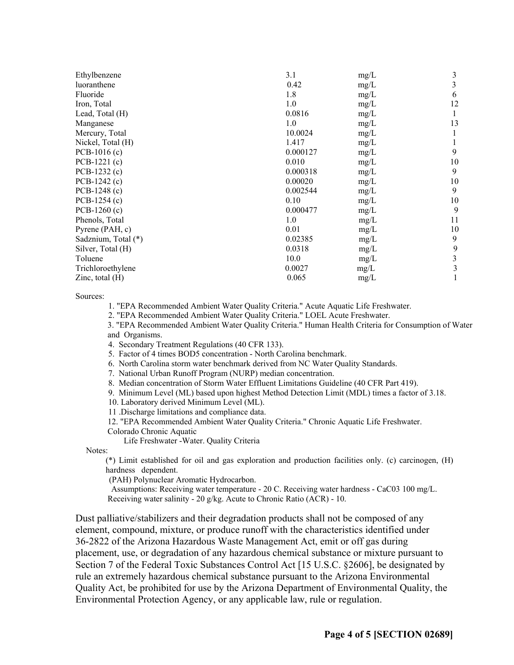| Ethylbenzene        | 3.1      | mg/L | 3  |
|---------------------|----------|------|----|
| luoranthene         | 0.42     | mg/L | 3  |
| Fluoride            | 1.8      | mg/L | 6  |
| Iron, Total         | 1.0      | mg/L | 12 |
| Lead, Total (H)     | 0.0816   | mg/L | 1  |
| Manganese           | 1.0      | mg/L | 13 |
| Mercury, Total      | 10.0024  | mg/L |    |
| Nickel, Total (H)   | 1.417    | mg/L |    |
| $PCB-1016(c)$       | 0.000127 | mg/L | 9  |
| $PCB-1221(c)$       | 0.010    | mg/L | 10 |
| $PCB-1232(c)$       | 0.000318 | mg/L | 9  |
| PCB-1242 (c)        | 0.00020  | mg/L | 10 |
| $PCB-1248(c)$       | 0.002544 | mg/L | 9  |
| $PCB-1254(c)$       | 0.10     | mg/L | 10 |
| $PCB-1260(c)$       | 0.000477 | mg/L | 9  |
| Phenols, Total      | 1.0      | mg/L | 11 |
| Pyrene (PAH, c)     | 0.01     | mg/L | 10 |
| Sadznium, Total (*) | 0.02385  | mg/L | 9  |
| Silver, Total (H)   | 0.0318   | mg/L | 9  |
| Toluene             | 10.0     | mg/L | 3  |
| Trichloroethylene   | 0.0027   | mg/L | 3  |
| Zinc, total $(H)$   | 0.065    | mg/L |    |
|                     |          |      |    |

Sources:

1. "EPA Recommended Ambient Water Quality Criteria." Acute Aquatic Life Freshwater.

2. "EPA Recommended Ambient Water Quality Criteria." LOEL Acute Freshwater.

3. "EPA Recommended Ambient Water Quality Criteria." Human Health Criteria for Consumption of Water and Organisms.

4. Secondary Treatment Regulations (40 CFR 133).

- 5. Factor of 4 times BOD5 concentration North Carolina benchmark.
- 6. North Carolina storm water benchmark derived from NC Water Quality Standards.

7. National Urban Runoff Program (NURP) median concentration.

- 8. Median concentration of Storm Water Effluent Limitations Guideline (40 CFR Part 419).
- 9. Minimum Level (ML) based upon highest Method Detection Limit (MDL) times a factor of 3.18.
- 10. Laboratory derived Minimum Level (ML).

11 .Discharge limitations and compliance data.

12. "EPA Recommended Ambient Water Quality Criteria." Chronic Aquatic Life Freshwater.

Colorado Chronic Aquatic

Life Freshwater -Water. Quality Criteria

Notes:

(\*) Limit established for oil and gas exploration and production facilities only. (c) carcinogen, (H) hardness dependent.

(PAH) Polynuclear Aromatic Hydrocarbon.

 Assumptions: Receiving water temperature - 20 C. Receiving water hardness - CaC03 100 mg/L. Receiving water salinity - 20 g/kg. Acute to Chronic Ratio (ACR) - 10.

Dust palliative/stabilizers and their degradation products shall not be composed of any element, compound, mixture, or produce runoff with the characteristics identified under 36-2822 of the Arizona Hazardous Waste Management Act, emit or off gas during placement, use, or degradation of any hazardous chemical substance or mixture pursuant to Section 7 of the Federal Toxic Substances Control Act [15 U.S.C. §2606], be designated by rule an extremely hazardous chemical substance pursuant to the Arizona Environmental Quality Act, be prohibited for use by the Arizona Department of Environmental Quality, the Environmental Protection Agency, or any applicable law, rule or regulation.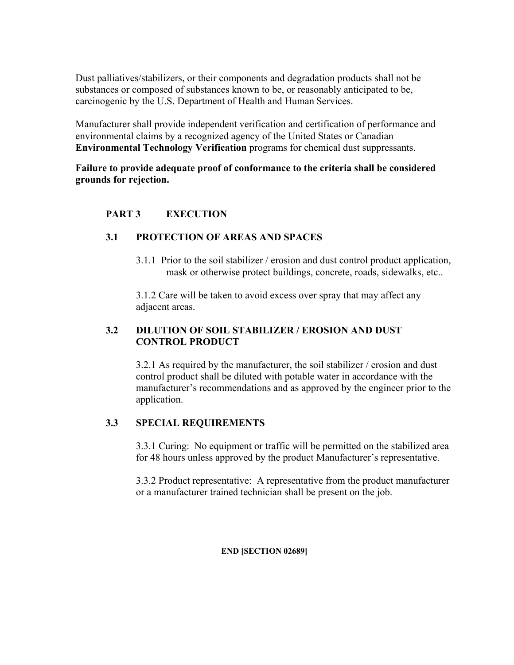Dust palliatives/stabilizers, or their components and degradation products shall not be substances or composed of substances known to be, or reasonably anticipated to be, carcinogenic by the U.S. Department of Health and Human Services.

Manufacturer shall provide independent verification and certification of performance and environmental claims by a recognized agency of the United States or Canadian **Environmental Technology Verification** programs for chemical dust suppressants.

**Failure to provide adequate proof of conformance to the criteria shall be considered grounds for rejection.** 

# **PART 3 EXECUTION**

# **3.1 PROTECTION OF AREAS AND SPACES**

3.1.1 Prior to the soil stabilizer / erosion and dust control product application, mask or otherwise protect buildings, concrete, roads, sidewalks, etc..

3.1.2 Care will be taken to avoid excess over spray that may affect any adjacent areas.

# **3.2 DILUTION OF SOIL STABILIZER / EROSION AND DUST CONTROL PRODUCT**

3.2.1 As required by the manufacturer, the soil stabilizer / erosion and dust control product shall be diluted with potable water in accordance with the manufacturer's recommendations and as approved by the engineer prior to the application.

# **3.3 SPECIAL REQUIREMENTS**

3.3.1 Curing: No equipment or traffic will be permitted on the stabilized area for 48 hours unless approved by the product Manufacturer's representative.

3.3.2 Product representative: A representative from the product manufacturer or a manufacturer trained technician shall be present on the job.

## **END [SECTION 02689]**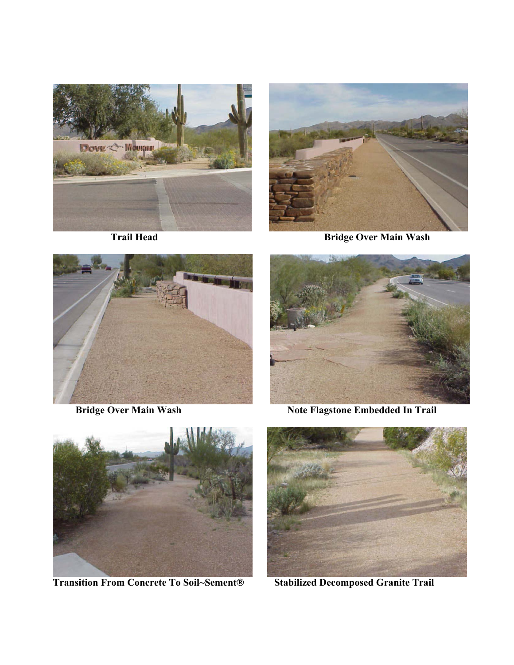



**Trail Head Bridge Over Main Wash Bridge Over Main Wash** 





**Bridge Over Main Wash Note Flagstone Embedded In Trail** 



 **Transition From Concrete To Soil~Sement® Stabilized Decomposed Granite Trail**